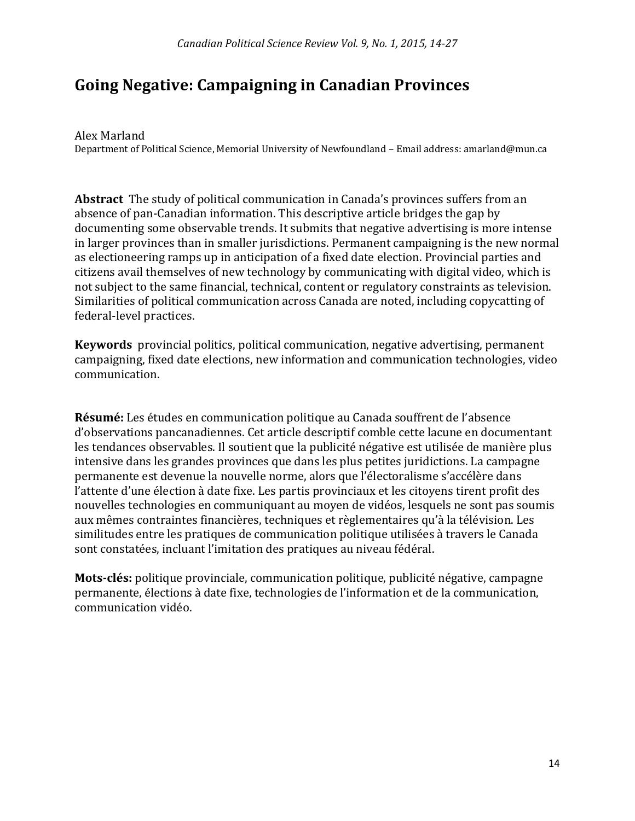# **Going Negative: Campaigning in Canadian Provinces**

Alex Marland

Department of Political Science, Memorial University of Newfoundland – Email address: amarland@mun.ca

**Abstract** The study of political communication in Canada's provinces suffers from an absence of pan-Canadian information. This descriptive article bridges the gap by documenting some observable trends. It submits that negative advertising is more intense in larger provinces than in smaller jurisdictions. Permanent campaigning is the new normal as electioneering ramps up in anticipation of a fixed date election. Provincial parties and citizens avail themselves of new technology by communicating with digital video, which is not subject to the same financial, technical, content or regulatory constraints as television. Similarities of political communication across Canada are noted, including copycatting of federal-level practices.

**Keywords** provincial politics, political communication, negative advertising, permanent campaigning, fixed date elections, new information and communication technologies, video communication.

**Résumé:** Les études en communication politique au Canada souffrent de l'absence d'observations pancanadiennes. Cet article descriptif comble cette lacune en documentant les tendances observables. Il soutient que la publicité négative est utilisée de manière plus intensive dans les grandes provinces que dans les plus petites juridictions. La campagne permanente est devenue la nouvelle norme, alors que l'électoralisme s'accélère dans l'attente d'une élection à date fixe. Les partis provinciaux et les citoyens tirent profit des nouvelles technologies en communiquant au moyen de vidéos, lesquels ne sont pas soumis aux mêmes contraintes financières, techniques et règlementaires qu'à la télévision. Les similitudes entre les pratiques de communication politique utilisées à travers le Canada sont constatées, incluant l'imitation des pratiques au niveau fédéral.

**Mots-clés:** politique provinciale, communication politique, publicité négative, campagne permanente, élections à date fixe, technologies de l'information et de la communication, communication vidéo.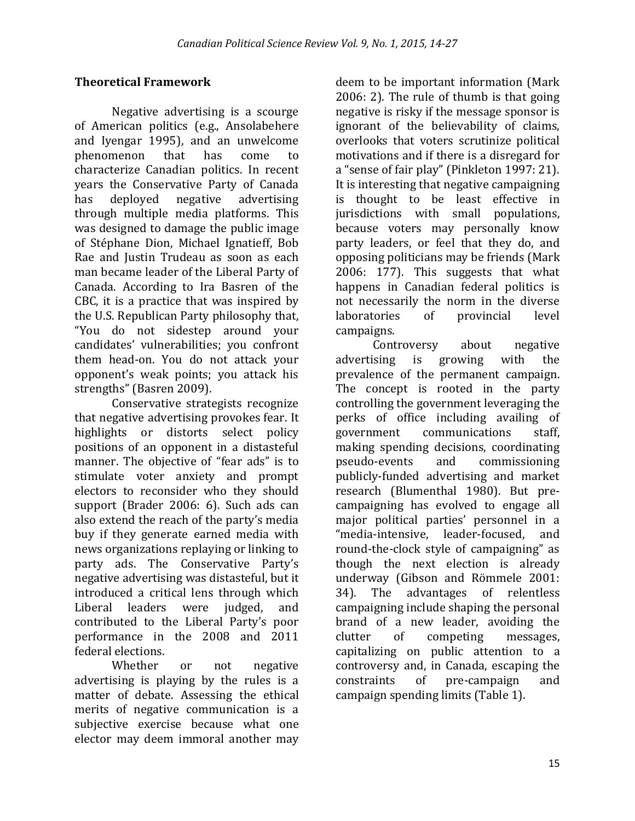### **Theoretical Framework**

Negative advertising is a scourge of American politics (e.g., Ansolabehere and Iyengar 1995), and an unwelcome phenomenon that has come to characterize Canadian politics. In recent years the Conservative Party of Canada has deployed negative advertising through multiple media platforms. This was designed to damage the public image of Stéphane Dion, Michael Ignatieff, Bob Rae and Justin Trudeau as soon as each man became leader of the Liberal Party of Canada. According to Ira Basren of the CBC, it is a practice that was inspired by the U.S. Republican Party philosophy that, "You do not sidestep around your candidates' vulnerabilities; you confront them head-on. You do not attack your opponent's weak points; you attack his strengths" (Basren 2009).

Conservative strategists recognize that negative advertising provokes fear. It highlights or distorts select policy positions of an opponent in a distasteful manner. The objective of "fear ads" is to stimulate voter anxiety and prompt electors to reconsider who they should support (Brader 2006: 6). Such ads can also extend the reach of the party's media buy if they generate earned media with news organizations replaying or linking to party ads. The Conservative Party's negative advertising was distasteful, but it introduced a critical lens through which Liberal leaders were judged, and contributed to the Liberal Party's poor performance in the 2008 and 2011 federal elections.

Whether or not negative advertising is playing by the rules is a matter of debate. Assessing the ethical merits of negative communication is a subjective exercise because what one elector may deem immoral another may

deem to be important information (Mark 2006: 2). The rule of thumb is that going negative is risky if the message sponsor is ignorant of the believability of claims, overlooks that voters scrutinize political motivations and if there is a disregard for a "sense of fair play" (Pinkleton 1997: 21). It is interesting that negative campaigning is thought to be least effective in jurisdictions with small populations, because voters may personally know party leaders, or feel that they do, and opposing politicians may be friends (Mark 2006: 177). This suggests that what happens in Canadian federal politics is not necessarily the norm in the diverse laboratories of provincial level campaigns.

Controversy about negative advertising is growing with the prevalence of the permanent campaign. The concept is rooted in the party controlling the government leveraging the perks of office including availing of government communications staff, making spending decisions, coordinating pseudo-events and commissioning publicly-funded advertising and market research (Blumenthal 1980). But precampaigning has evolved to engage all major political parties' personnel in a "media-intensive, leader-focused, and round-the-clock style of campaigning" as though the next election is already underway (Gibson and Römmele 2001: 34). The advantages of relentless campaigning include shaping the personal brand of a new leader, avoiding the clutter of competing messages, capitalizing on public attention to a controversy and, in Canada, escaping the constraints of pre-campaign and campaign spending limits (Table 1).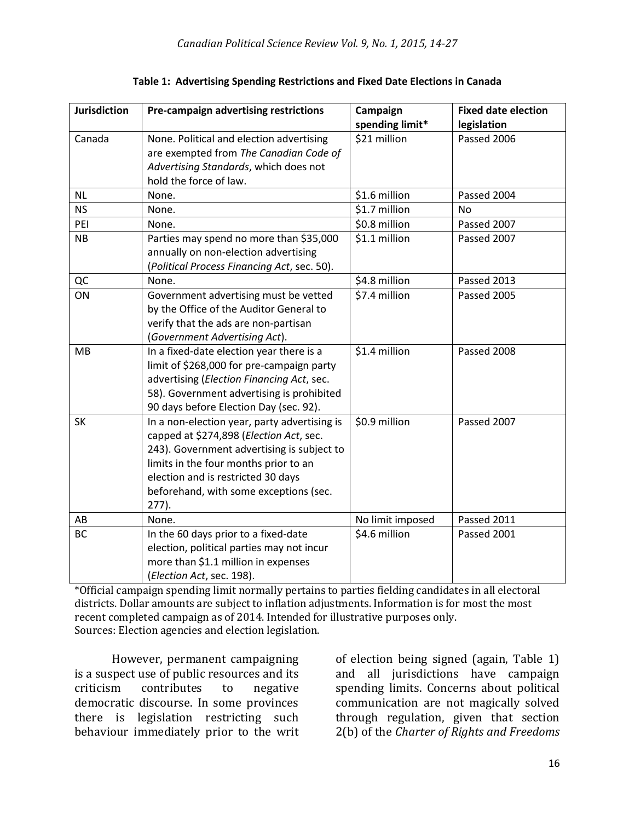| <b>Jurisdiction</b> | Pre-campaign advertising restrictions        | Campaign         | <b>Fixed date election</b> |
|---------------------|----------------------------------------------|------------------|----------------------------|
|                     |                                              | spending limit*  | legislation                |
| Canada              | None. Political and election advertising     | \$21 million     | Passed 2006                |
|                     | are exempted from The Canadian Code of       |                  |                            |
|                     | Advertising Standards, which does not        |                  |                            |
|                     | hold the force of law.                       |                  |                            |
| <b>NL</b>           | None.                                        | \$1.6 million    | Passed 2004                |
| <b>NS</b>           | None.                                        | \$1.7 million    | <b>No</b>                  |
| PEI                 | None.                                        | \$0.8 million    | Passed 2007                |
| NB                  | Parties may spend no more than \$35,000      | \$1.1 million    | Passed 2007                |
|                     | annually on non-election advertising         |                  |                            |
|                     | (Political Process Financing Act, sec. 50).  |                  |                            |
| QC                  | None.                                        | \$4.8 million    | Passed 2013                |
| ON                  | Government advertising must be vetted        | \$7.4 million    | Passed 2005                |
|                     | by the Office of the Auditor General to      |                  |                            |
|                     | verify that the ads are non-partisan         |                  |                            |
|                     | (Government Advertising Act).                |                  |                            |
| <b>MB</b>           | In a fixed-date election year there is a     | \$1.4 million    | Passed 2008                |
|                     | limit of \$268,000 for pre-campaign party    |                  |                            |
|                     | advertising (Election Financing Act, sec.    |                  |                            |
|                     | 58). Government advertising is prohibited    |                  |                            |
|                     | 90 days before Election Day (sec. 92).       |                  |                            |
| <b>SK</b>           | In a non-election year, party advertising is | \$0.9 million    | Passed 2007                |
|                     | capped at \$274,898 (Election Act, sec.      |                  |                            |
|                     | 243). Government advertising is subject to   |                  |                            |
|                     | limits in the four months prior to an        |                  |                            |
|                     | election and is restricted 30 days           |                  |                            |
|                     | beforehand, with some exceptions (sec.       |                  |                            |
|                     | $277$ ).                                     |                  |                            |
| AB                  | None.                                        | No limit imposed | Passed 2011                |
| BC                  | In the 60 days prior to a fixed-date         | \$4.6 million    | Passed 2001                |
|                     | election, political parties may not incur    |                  |                            |
|                     | more than \$1.1 million in expenses          |                  |                            |
|                     | (Election Act, sec. 198).                    |                  |                            |

**Table 1: Advertising Spending Restrictions and Fixed Date Elections in Canada**

\*Official campaign spending limit normally pertains to parties fielding candidates in all electoral districts. Dollar amounts are subject to inflation adjustments. Information is for most the most recent completed campaign as of 2014. Intended for illustrative purposes only. Sources: Election agencies and election legislation.

However, permanent campaigning is a suspect use of public resources and its criticism contributes to negative democratic discourse. In some provinces there is legislation restricting such behaviour immediately prior to the writ

of election being signed (again, Table 1) and all jurisdictions have campaign spending limits. Concerns about political communication are not magically solved through regulation, given that section 2(b) of the *Charter of Rights and Freedoms*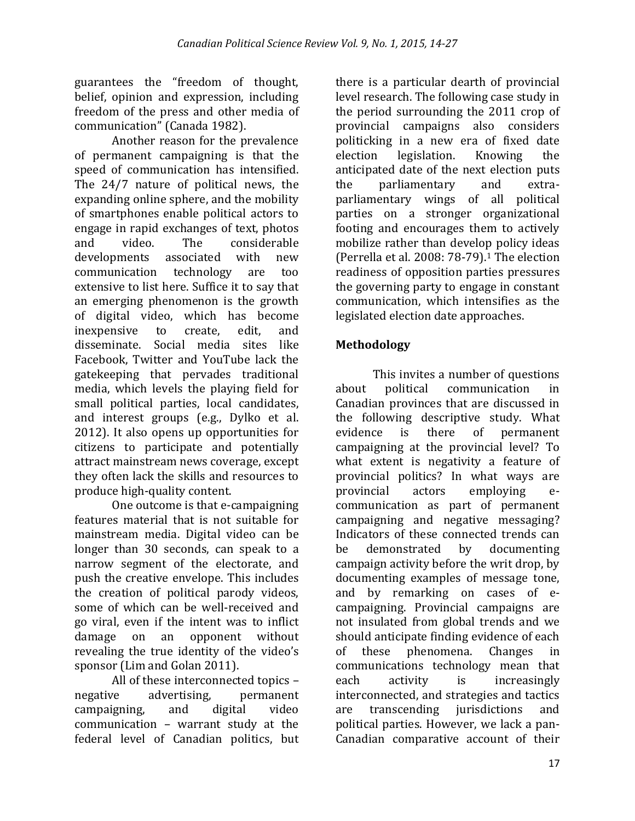guarantees the "freedom of thought, belief, opinion and expression, including freedom of the press and other media of communication" (Canada 1982).

Another reason for the prevalence of permanent campaigning is that the speed of communication has intensified. The 24/7 nature of political news, the expanding online sphere, and the mobility of smartphones enable political actors to engage in rapid exchanges of text, photos and video. The considerable developments associated with new communication technology are too extensive to list here. Suffice it to say that an emerging phenomenon is the growth of digital video, which has become inexpensive to create, edit, and disseminate. Social media sites like Facebook, Twitter and YouTube lack the gatekeeping that pervades traditional media, which levels the playing field for small political parties, local candidates, and interest groups (e.g., Dylko et al. 2012). It also opens up opportunities for citizens to participate and potentially attract mainstream news coverage, except they often lack the skills and resources to produce high-quality content.

One outcome is that e-campaigning features material that is not suitable for mainstream media. Digital video can be longer than 30 seconds, can speak to a narrow segment of the electorate, and push the creative envelope. This includes the creation of political parody videos, some of which can be well-received and go viral, even if the intent was to inflict damage on an opponent without revealing the true identity of the video's sponsor (Lim and Golan 2011).

All of these interconnected topics – negative advertising, permanent campaigning, and digital video communication – warrant study at the federal level of Canadian politics, but

there is a particular dearth of provincial level research. The following case study in the period surrounding the 2011 crop of provincial campaigns also considers politicking in a new era of fixed date election legislation. Knowing the anticipated date of the next election puts the parliamentary and extraparliamentary wings of all political parties on a stronger organizational footing and encourages them to actively mobilize rather than develop policy ideas (Perrella et al. 2008: 78-79). <sup>1</sup> The election readiness of opposition parties pressures the governing party to engage in constant communication, which intensifies as the legislated election date approaches.

## **Methodology**

This invites a number of questions about political communication in Canadian provinces that are discussed in the following descriptive study. What evidence is there of permanent campaigning at the provincial level? To what extent is negativity a feature of provincial politics? In what ways are provincial actors employing ecommunication as part of permanent campaigning and negative messaging? Indicators of these connected trends can be demonstrated by documenting campaign activity before the writ drop, by documenting examples of message tone, and by remarking on cases of ecampaigning. Provincial campaigns are not insulated from global trends and we should anticipate finding evidence of each of these phenomena. Changes in communications technology mean that each activity is increasingly interconnected, and strategies and tactics are transcending jurisdictions and political parties. However, we lack a pan-Canadian comparative account of their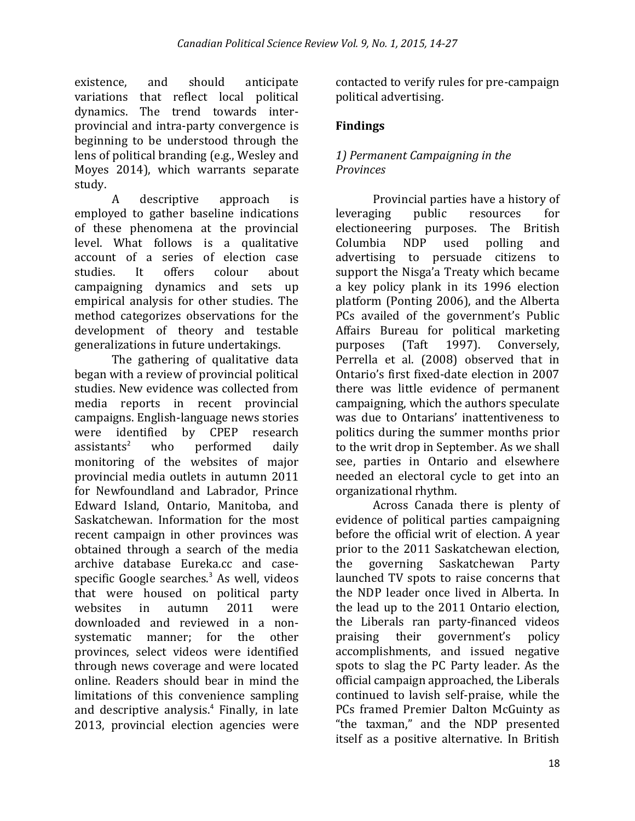existence, and should anticipate variations that reflect local political dynamics. The trend towards interprovincial and intra-party convergence is beginning to be understood through the lens of political branding (e.g., Wesley and Moyes 2014), which warrants separate study.

A descriptive approach is employed to gather baseline indications of these phenomena at the provincial level. What follows is a qualitative account of a series of election case studies. It offers colour about campaigning dynamics and sets up empirical analysis for other studies. The method categorizes observations for the development of theory and testable generalizations in future undertakings.

The gathering of qualitative data began with a review of provincial political studies. New evidence was collected from media reports in recent provincial campaigns. English-language news stories were identified by CPEP research  $assistants<sup>2</sup>$  who performed daily monitoring of the websites of major provincial media outlets in autumn 2011 for Newfoundland and Labrador, Prince Edward Island, Ontario, Manitoba, and Saskatchewan. Information for the most recent campaign in other provinces was obtained through a search of the media archive database Eureka.cc and casespecific Google searches. $3$  As well, videos that were housed on political party websites in autumn 2011 were downloaded and reviewed in a nonsystematic manner; for the other provinces, select videos were identified through news coverage and were located online. Readers should bear in mind the limitations of this convenience sampling and descriptive analysis. 4 Finally, in late 2013, provincial election agencies were

contacted to verify rules for pre-campaign political advertising.

## **Findings**

### *1) Permanent Campaigning in the Provinces*

Provincial parties have a history of leveraging public resources for electioneering purposes. The British Columbia NDP used polling and advertising to persuade citizens to support the Nisga'a Treaty which became a key policy plank in its 1996 election platform (Ponting 2006), and the Alberta PCs availed of the government's Public Affairs Bureau for political marketing purposes (Taft 1997). Conversely, Perrella et al. (2008) observed that in Ontario's first fixed-date election in 2007 there was little evidence of permanent campaigning, which the authors speculate was due to Ontarians' inattentiveness to politics during the summer months prior to the writ drop in September. As we shall see, parties in Ontario and elsewhere needed an electoral cycle to get into an organizational rhythm.

Across Canada there is plenty of evidence of political parties campaigning before the official writ of election. A year prior to the 2011 Saskatchewan election, the governing Saskatchewan Party launched TV spots to raise concerns that the NDP leader once lived in Alberta. In the lead up to the 2011 Ontario election, the Liberals ran party-financed videos praising their government's policy accomplishments, and issued negative spots to slag the PC Party leader. As the official campaign approached, the Liberals continued to lavish self-praise, while the PCs framed Premier Dalton McGuinty as "the taxman," and the NDP presented itself as a positive alternative. In British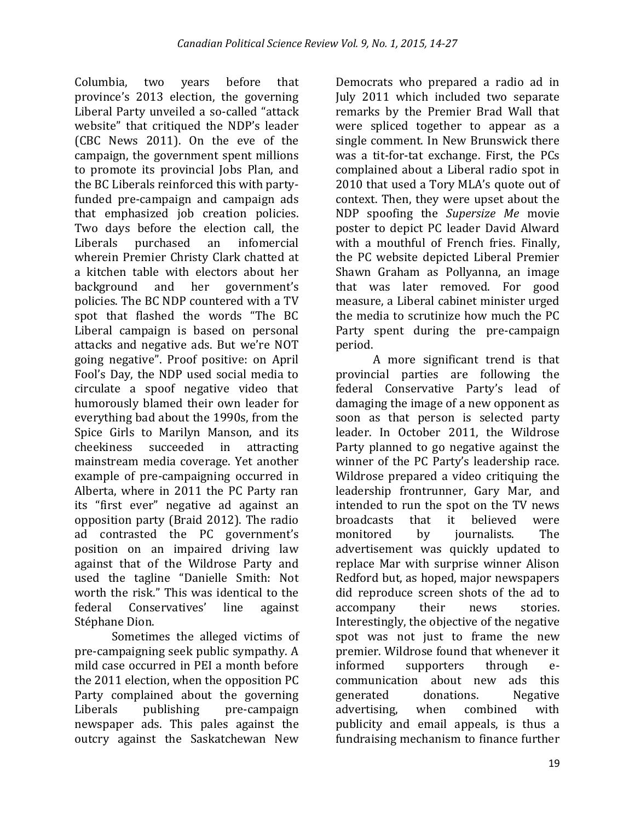Columbia, two years before that province's 2013 election, the governing Liberal Party unveiled a so-called "attack website" that critiqued the NDP's leader (CBC News 2011). On the eve of the campaign, the government spent millions to promote its provincial Jobs Plan, and the BC Liberals reinforced this with partyfunded pre-campaign and campaign ads that emphasized job creation policies. Two days before the election call, the Liberals purchased an infomercial wherein Premier Christy Clark chatted at a kitchen table with electors about her background and her government's policies. The BC NDP countered with a TV spot that flashed the words "The BC Liberal campaign is based on personal attacks and negative ads. But we're NOT going negative". Proof positive: on April Fool's Day, the NDP used social media to circulate a spoof negative video that humorously blamed their own leader for everything bad about the 1990s, from the Spice Girls to Marilyn Manson, and its cheekiness succeeded in attracting mainstream media coverage. Yet another example of pre-campaigning occurred in Alberta, where in 2011 the PC Party ran its "first ever" negative ad against an opposition party (Braid 2012). The radio ad contrasted the PC government's position on an impaired driving law against that of the Wildrose Party and used the tagline "Danielle Smith: Not worth the risk." This was identical to the federal Conservatives' line against Stéphane Dion.

Sometimes the alleged victims of pre-campaigning seek public sympathy. A mild case occurred in PEI a month before the 2011 election, when the opposition PC Party complained about the governing Liberals publishing pre-campaign newspaper ads. This pales against the outcry against the Saskatchewan New

Democrats who prepared a radio ad in July 2011 which included two separate remarks by the Premier Brad Wall that were spliced together to appear as a single comment. In New Brunswick there was a tit-for-tat exchange. First, the PCs complained about a Liberal radio spot in 2010 that used a Tory MLA's quote out of context. Then, they were upset about the NDP spoofing the *Supersize Me* movie poster to depict PC leader David Alward with a mouthful of French fries. Finally, the PC website depicted Liberal Premier Shawn Graham as Pollyanna, an image that was later removed. For good measure, a Liberal cabinet minister urged the media to scrutinize how much the PC Party spent during the pre-campaign period.

A more significant trend is that provincial parties are following the federal Conservative Party's lead of damaging the image of a new opponent as soon as that person is selected party leader. In October 2011, the Wildrose Party planned to go negative against the winner of the PC Party's leadership race. Wildrose prepared a video critiquing the leadership frontrunner, Gary Mar, and intended to run the spot on the TV news broadcasts that it believed were monitored by journalists. The advertisement was quickly updated to replace Mar with surprise winner Alison Redford but, as hoped, major newspapers did reproduce screen shots of the ad to accompany their news stories. Interestingly, the objective of the negative spot was not just to frame the new premier. Wildrose found that whenever it informed supporters through ecommunication about new ads this generated donations. Negative advertising, when combined with publicity and email appeals, is thus a fundraising mechanism to finance further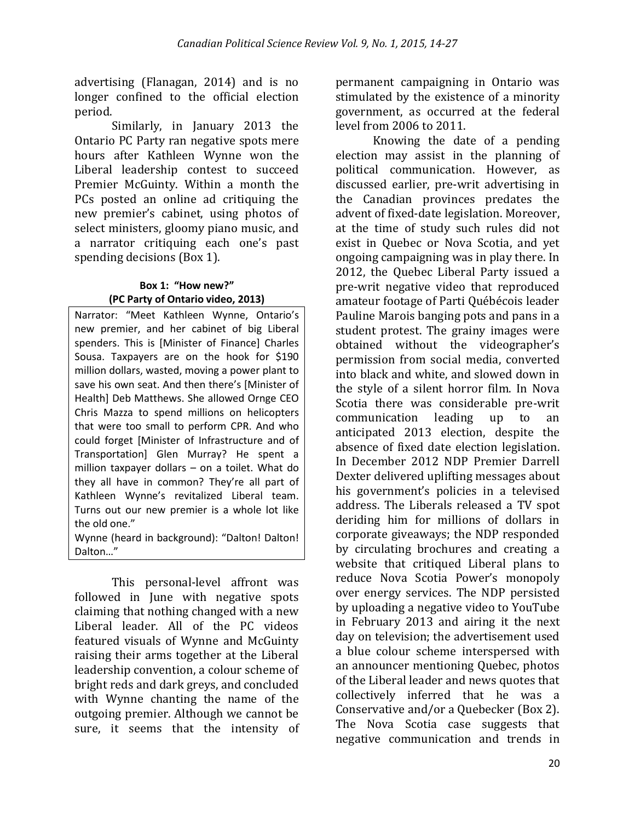advertising (Flanagan, 2014) and is no longer confined to the official election period.

Similarly, in January 2013 the Ontario PC Party ran negative spots mere hours after Kathleen Wynne won the Liberal leadership contest to succeed Premier McGuinty. Within a month the PCs posted an online ad critiquing the new premier's cabinet, using photos of select ministers, gloomy piano music, and a narrator critiquing each one's past spending decisions (Box 1).

#### **Box 1: "How new?" (PC Party of Ontario video, 2013)**

Narrator: "Meet Kathleen Wynne, Ontario's new premier, and her cabinet of big Liberal spenders. This is [Minister of Finance] Charles Sousa. Taxpayers are on the hook for \$190 million dollars, wasted, moving a power plant to save his own seat. And then there's [Minister of Health] Deb Matthews. She allowed Ornge CEO Chris Mazza to spend millions on helicopters that were too small to perform CPR. And who could forget [Minister of Infrastructure and of Transportation] Glen Murray? He spent a million taxpayer dollars – on a toilet. What do they all have in common? They're all part of Kathleen Wynne's revitalized Liberal team. Turns out our new premier is a whole lot like the old one."

Wynne (heard in background): "Dalton! Dalton! Dalton…"

This personal-level affront was followed in June with negative spots claiming that nothing changed with a new Liberal leader. All of the PC videos featured visuals of Wynne and McGuinty raising their arms together at the Liberal leadership convention, a colour scheme of bright reds and dark greys, and concluded with Wynne chanting the name of the outgoing premier. Although we cannot be sure, it seems that the intensity of

permanent campaigning in Ontario was stimulated by the existence of a minority government, as occurred at the federal level from 2006 to 2011.

Knowing the date of a pending election may assist in the planning of political communication. However, as discussed earlier, pre-writ advertising in the Canadian provinces predates the advent of fixed-date legislation. Moreover, at the time of study such rules did not exist in Quebec or Nova Scotia, and yet ongoing campaigning was in play there. In 2012, the Quebec Liberal Party issued a pre-writ negative video that reproduced amateur footage of Parti Québécois leader Pauline Marois banging pots and pans in a student protest. The grainy images were obtained without the videographer's permission from social media, converted into black and white, and slowed down in the style of a silent horror film. In Nova Scotia there was considerable pre-writ communication leading up to an anticipated 2013 election, despite the absence of fixed date election legislation. In December 2012 NDP Premier Darrell Dexter delivered uplifting messages about his government's policies in a televised address. The Liberals released a TV spot deriding him for millions of dollars in corporate giveaways; the NDP responded by circulating brochures and creating a website that critiqued Liberal plans to reduce Nova Scotia Power's monopoly over energy services. The NDP persisted by uploading a negative video to YouTube in February 2013 and airing it the next day on television; the advertisement used a blue colour scheme interspersed with an announcer mentioning Quebec, photos of the Liberal leader and news quotes that collectively inferred that he was a Conservative and/or a Quebecker (Box 2). The Nova Scotia case suggests that negative communication and trends in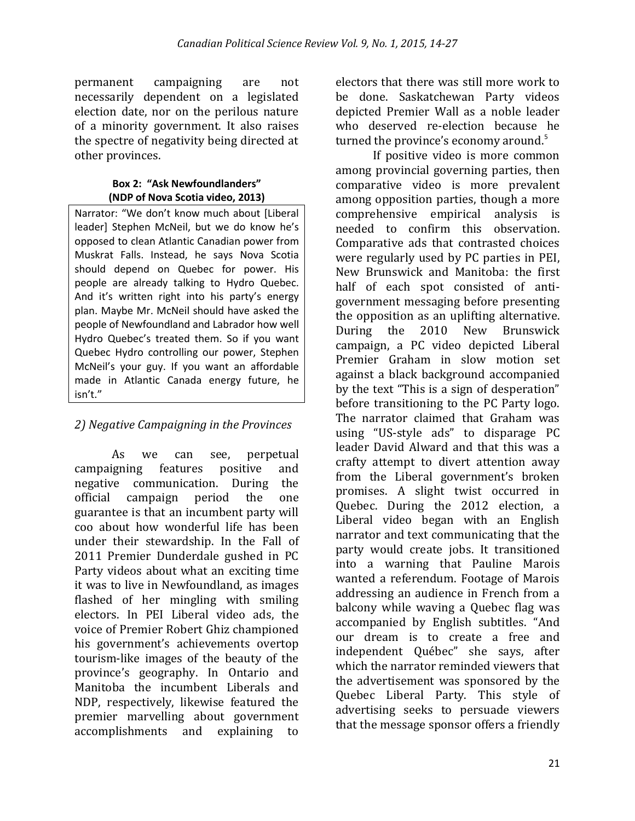permanent campaigning are not necessarily dependent on a legislated election date, nor on the perilous nature of a minority government. It also raises the spectre of negativity being directed at other provinces.

#### **Box 2: "Ask Newfoundlanders" (NDP of Nova Scotia video, 2013)**

Narrator: "We don't know much about [Liberal leader] Stephen McNeil, but we do know he's opposed to clean Atlantic Canadian power from Muskrat Falls. Instead, he says Nova Scotia should depend on Quebec for power. His people are already talking to Hydro Quebec. And it's written right into his party's energy plan. Maybe Mr. McNeil should have asked the people of Newfoundland and Labrador how well Hydro Quebec's treated them. So if you want Quebec Hydro controlling our power, Stephen McNeil's your guy. If you want an affordable made in Atlantic Canada energy future, he isn't."

### *2) Negative Campaigning in the Provinces*

As we can see, perpetual campaigning features positive and negative communication. During the official campaign period the one guarantee is that an incumbent party will coo about how wonderful life has been under their stewardship. In the Fall of 2011 Premier Dunderdale gushed in PC Party videos about what an exciting time it was to live in Newfoundland, as images flashed of her mingling with smiling electors. In PEI Liberal video ads, the voice of Premier Robert Ghiz championed his government's achievements overtop tourism-like images of the beauty of the province's geography. In Ontario and Manitoba the incumbent Liberals and NDP, respectively, likewise featured the premier marvelling about government accomplishments and explaining to

electors that there was still more work to be done. Saskatchewan Party videos depicted Premier Wall as a noble leader who deserved re-election because he turned the province's economy around.<sup>5</sup>

If positive video is more common among provincial governing parties, then comparative video is more prevalent among opposition parties, though a more comprehensive empirical analysis is needed to confirm this observation. Comparative ads that contrasted choices were regularly used by PC parties in PEI, New Brunswick and Manitoba: the first half of each spot consisted of antigovernment messaging before presenting the opposition as an uplifting alternative. During the 2010 New Brunswick campaign, a PC video depicted Liberal Premier Graham in slow motion set against a black background accompanied by the text "This is a sign of desperation" before transitioning to the PC Party logo. The narrator claimed that Graham was using "US-style ads" to disparage PC leader David Alward and that this was a crafty attempt to divert attention away from the Liberal government's broken promises. A slight twist occurred in Quebec. During the 2012 election, a Liberal video began with an English narrator and text communicating that the party would create jobs. It transitioned into a warning that Pauline Marois wanted a referendum. Footage of Marois addressing an audience in French from a balcony while waving a Quebec flag was accompanied by English subtitles. "And our dream is to create a free and independent Québec" she says, after which the narrator reminded viewers that the advertisement was sponsored by the Quebec Liberal Party. This style of advertising seeks to persuade viewers that the message sponsor offers a friendly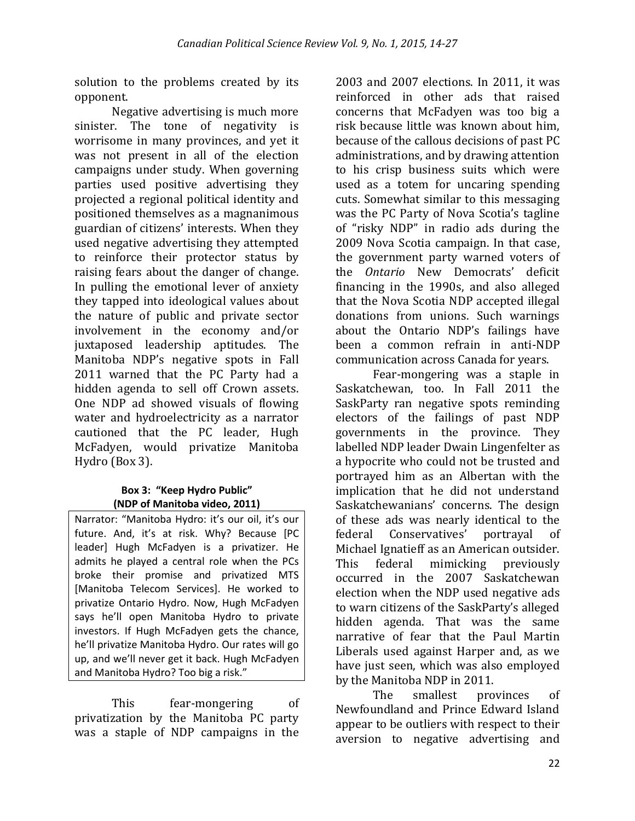solution to the problems created by its opponent.

Negative advertising is much more sinister. The tone of negativity is worrisome in many provinces, and yet it was not present in all of the election campaigns under study. When governing parties used positive advertising they projected a regional political identity and positioned themselves as a magnanimous guardian of citizens' interests. When they used negative advertising they attempted to reinforce their protector status by raising fears about the danger of change. In pulling the emotional lever of anxiety they tapped into ideological values about the nature of public and private sector involvement in the economy and/or juxtaposed leadership aptitudes. The Manitoba NDP's negative spots in Fall 2011 warned that the PC Party had a hidden agenda to sell off Crown assets. One NDP ad showed visuals of flowing water and hydroelectricity as a narrator cautioned that the PC leader, Hugh McFadyen, would privatize Manitoba Hydro (Box 3).

#### **Box 3: "Keep Hydro Public" (NDP of Manitoba video, 2011)**

Narrator: "Manitoba Hydro: it's our oil, it's our future. And, it's at risk. Why? Because [PC leader] Hugh McFadyen is a privatizer. He admits he played a central role when the PCs broke their promise and privatized MTS [Manitoba Telecom Services]. He worked to privatize Ontario Hydro. Now, Hugh McFadyen says he'll open Manitoba Hydro to private investors. If Hugh McFadyen gets the chance, he'll privatize Manitoba Hydro. Our rates will go up, and we'll never get it back. Hugh McFadyen and Manitoba Hydro? Too big a risk."

This fear-mongering of privatization by the Manitoba PC party was a staple of NDP campaigns in the

2003 and 2007 elections. In 2011, it was reinforced in other ads that raised concerns that McFadyen was too big a risk because little was known about him, because of the callous decisions of past PC administrations, and by drawing attention to his crisp business suits which were used as a totem for uncaring spending cuts. Somewhat similar to this messaging was the PC Party of Nova Scotia's tagline of "risky NDP" in radio ads during the 2009 Nova Scotia campaign. In that case, the government party warned voters of the *Ontario* New Democrats' deficit financing in the 1990s, and also alleged that the Nova Scotia NDP accepted illegal donations from unions. Such warnings about the Ontario NDP's failings have been a common refrain in anti-NDP communication across Canada for years.

Fear-mongering was a staple in Saskatchewan, too. In Fall 2011 the SaskParty ran negative spots reminding electors of the failings of past NDP governments in the province. They labelled NDP leader Dwain Lingenfelter as a hypocrite who could not be trusted and portrayed him as an Albertan with the implication that he did not understand Saskatchewanians' concerns. The design of these ads was nearly identical to the federal Conservatives' portrayal of Michael Ignatieff as an American outsider. This federal mimicking previously occurred in the 2007 Saskatchewan election when the NDP used negative ads to warn citizens of the SaskParty's alleged hidden agenda. That was the same narrative of fear that the Paul Martin Liberals used against Harper and, as we have just seen, which was also employed by the Manitoba NDP in 2011.

The smallest provinces of Newfoundland and Prince Edward Island appear to be outliers with respect to their aversion to negative advertising and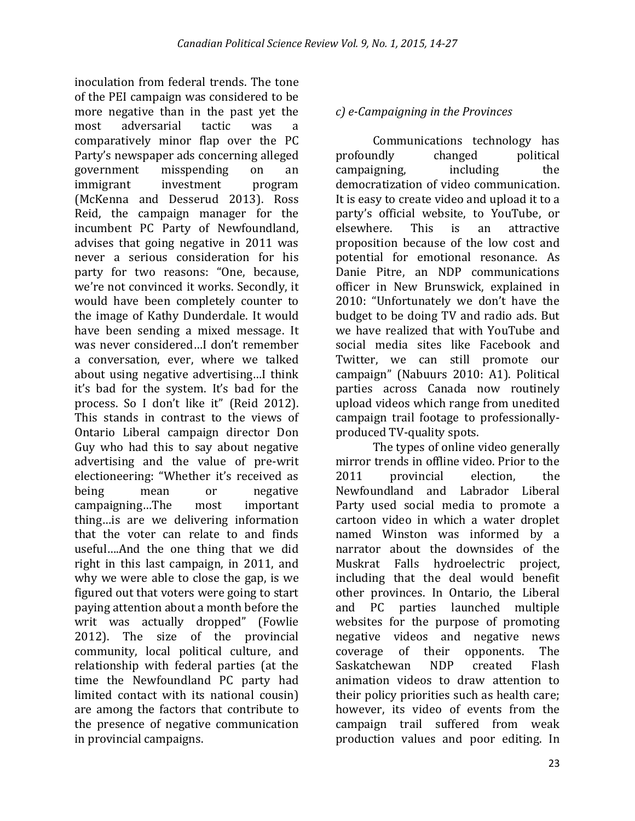inoculation from federal trends. The tone of the PEI campaign was considered to be more negative than in the past yet the most adversarial tactic was a comparatively minor flap over the PC Party's newspaper ads concerning alleged government misspending on an immigrant investment program (McKenna and Desserud 2013). Ross Reid, the campaign manager for the incumbent PC Party of Newfoundland, advises that going negative in 2011 was never a serious consideration for his party for two reasons: "One, because, we're not convinced it works. Secondly, it would have been completely counter to the image of Kathy Dunderdale. It would have been sending a mixed message. It was never considered…I don't remember a conversation, ever, where we talked about using negative advertising…I think it's bad for the system. It's bad for the process. So I don't like it" (Reid 2012). This stands in contrast to the views of Ontario Liberal campaign director Don Guy who had this to say about negative advertising and the value of pre-writ electioneering: "Whether it's received as being mean or negative campaigning…The most important thing…is are we delivering information that the voter can relate to and finds useful….And the one thing that we did right in this last campaign, in 2011, and why we were able to close the gap, is we figured out that voters were going to start paying attention about a month before the writ was actually dropped" (Fowlie 2012). The size of the provincial community, local political culture, and relationship with federal parties (at the time the Newfoundland PC party had limited contact with its national cousin) are among the factors that contribute to the presence of negative communication in provincial campaigns.

### *c) e-Campaigning in the Provinces*

Communications technology has profoundly changed political campaigning, including the democratization of video communication. It is easy to create video and upload it to a party's official website, to YouTube, or elsewhere. This is an attractive proposition because of the low cost and potential for emotional resonance. As Danie Pitre, an NDP communications officer in New Brunswick, explained in 2010: "Unfortunately we don't have the budget to be doing TV and radio ads. But we have realized that with YouTube and social media sites like Facebook and Twitter, we can still promote our campaign" (Nabuurs 2010: A1). Political parties across Canada now routinely upload videos which range from unedited campaign trail footage to professionallyproduced TV-quality spots.

The types of online video generally mirror trends in offline video. Prior to the 2011 provincial election, the Newfoundland and Labrador Liberal Party used social media to promote a cartoon video in which a water droplet named Winston was informed by a narrator about the downsides of the Muskrat Falls hydroelectric project, including that the deal would benefit other provinces. In Ontario, the Liberal and PC parties launched multiple websites for the purpose of promoting negative videos and negative news coverage of their opponents. The Saskatchewan NDP created Flash animation videos to draw attention to their policy priorities such as health care; however, its video of events from the campaign trail suffered from weak production values and poor editing. In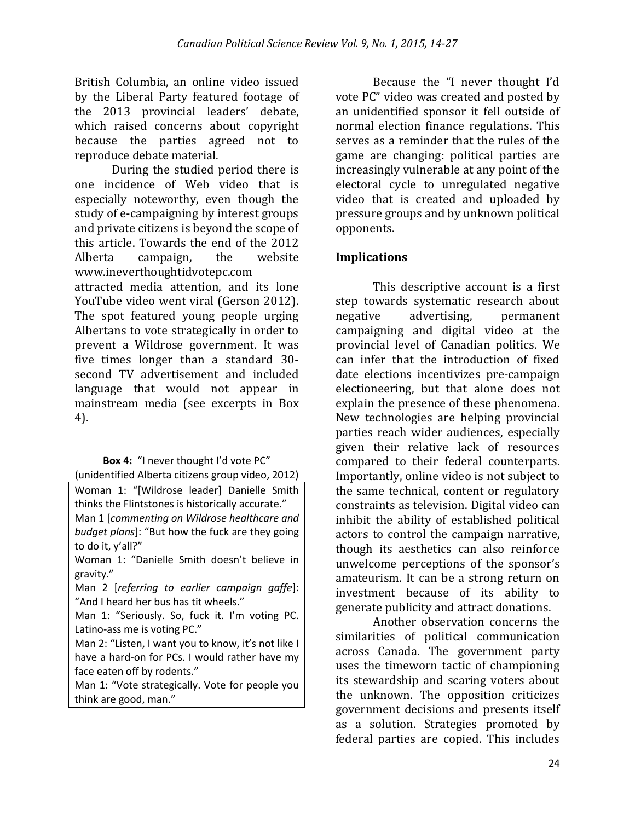British Columbia, an online video issued by the Liberal Party featured footage of the 2013 provincial leaders' debate, which raised concerns about copyright because the parties agreed not to reproduce debate material.

During the studied period there is one incidence of Web video that is especially noteworthy, even though the study of e-campaigning by interest groups and private citizens is beyond the scope of this article. Towards the end of the 2012 Alberta campaign, the website www.ineverthoughtidvotepc.com attracted media attention, and its lone YouTube video went viral (Gerson 2012). The spot featured young people urging Albertans to vote strategically in order to prevent a Wildrose government. It was five times longer than a standard 30 second TV advertisement and included language that would not appear in mainstream media (see excerpts in Box 4).

#### **Box 4:** "I never thought I'd vote PC" (unidentified Alberta citizens group video, 2012)

Woman 1: "[Wildrose leader] Danielle Smith thinks the Flintstones is historically accurate." Man 1 [*commenting on Wildrose healthcare and budget plans*]: "But how the fuck are they going to do it, y'all?"

Woman 1: "Danielle Smith doesn't believe in gravity."

Man 2 [*referring to earlier campaign gaffe*]: "And I heard her bus has tit wheels."

Man 1: "Seriously. So, fuck it. I'm voting PC. Latino-ass me is voting PC."

Man 2: "Listen, I want you to know, it's not like I have a hard-on for PCs. I would rather have my face eaten off by rodents."

Man 1: "Vote strategically. Vote for people you think are good, man."

Because the "I never thought I'd vote PC" video was created and posted by an unidentified sponsor it fell outside of normal election finance regulations. This serves as a reminder that the rules of the game are changing: political parties are increasingly vulnerable at any point of the electoral cycle to unregulated negative video that is created and uploaded by pressure groups and by unknown political opponents.

### **Implications**

This descriptive account is a first step towards systematic research about negative advertising, permanent campaigning and digital video at the provincial level of Canadian politics. We can infer that the introduction of fixed date elections incentivizes pre-campaign electioneering, but that alone does not explain the presence of these phenomena. New technologies are helping provincial parties reach wider audiences, especially given their relative lack of resources compared to their federal counterparts. Importantly, online video is not subject to the same technical, content or regulatory constraints as television. Digital video can inhibit the ability of established political actors to control the campaign narrative, though its aesthetics can also reinforce unwelcome perceptions of the sponsor's amateurism. It can be a strong return on investment because of its ability to generate publicity and attract donations.

Another observation concerns the similarities of political communication across Canada. The government party uses the timeworn tactic of championing its stewardship and scaring voters about the unknown. The opposition criticizes government decisions and presents itself as a solution. Strategies promoted by federal parties are copied. This includes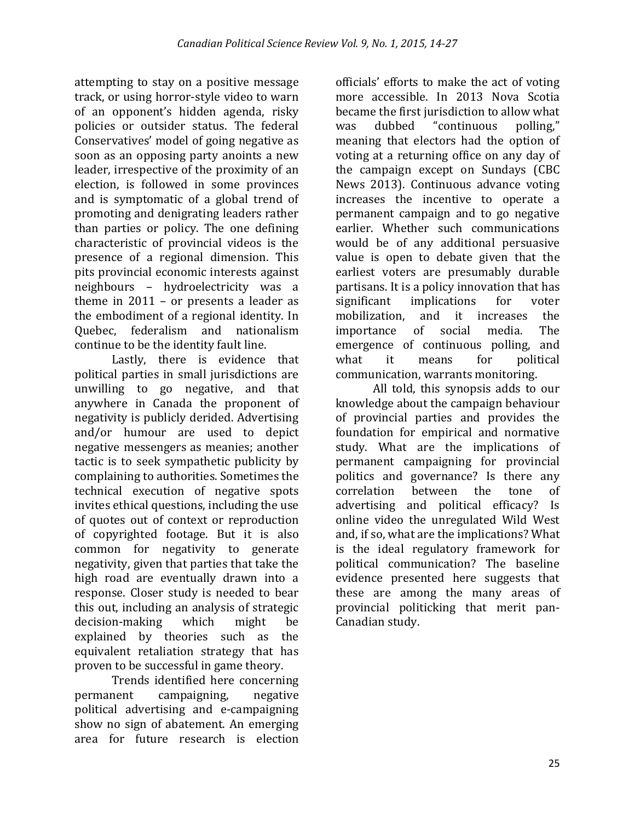attempting to stay on a positive message track, or using horror-style video to warn of an opponent's hidden agenda, risky policies or outsider status. The federal Conservatives' model of going negative as soon as an opposing party anoints a new leader, irrespective of the proximity of an election, is followed in some provinces and is symptomatic of a global trend of promoting and denigrating leaders rather than parties or policy. The one defining characteristic of provincial videos is the presence of a regional dimension. This pits provincial economic interests against neighbours – hydroelectricity was a theme in 2011 – or presents a leader as the embodiment of a regional identity. In Quebec, federalism and nationalism continue to be the identity fault line.

Lastly, there is evidence that political parties in small jurisdictions are unwilling to go negative, and that anywhere in Canada the proponent of negativity is publicly derided. Advertising and/or humour are used to depict negative messengers as meanies; another tactic is to seek sympathetic publicity by complaining to authorities. Sometimes the technical execution of negative spots invites ethical questions, including the use of quotes out of context or reproduction of copyrighted footage. But it is also common for negativity to generate negativity, given that parties that take the high road are eventually drawn into a response. Closer study is needed to bear this out, including an analysis of strategic decision-making which might be explained by theories such as the equivalent retaliation strategy that has proven to be successful in game theory.

Trends identified here concerning permanent campaigning, negative political advertising and e-campaigning show no sign of abatement. An emerging area for future research is election

officials' efforts to make the act of voting more accessible. In 2013 Nova Scotia became the first jurisdiction to allow what was dubbed "continuous polling," meaning that electors had the option of voting at a returning office on any day of the campaign except on Sundays (CBC News 2013). Continuous advance voting increases the incentive to operate a permanent campaign and to go negative earlier. Whether such communications would be of any additional persuasive value is open to debate given that the earliest voters are presumably durable partisans. It is a policy innovation that has significant implications for voter mobilization, and it increases the importance of social media. The emergence of continuous polling, and what it means for political communication, warrants monitoring.

All told, this synopsis adds to our knowledge about the campaign behaviour of provincial parties and provides the foundation for empirical and normative study. What are the implications of permanent campaigning for provincial politics and governance? Is there any correlation between the tone of advertising and political efficacy? Is online video the unregulated Wild West and, if so, what are the implications? What is the ideal regulatory framework for political communication? The baseline evidence presented here suggests that these are among the many areas of provincial politicking that merit pan-Canadian study.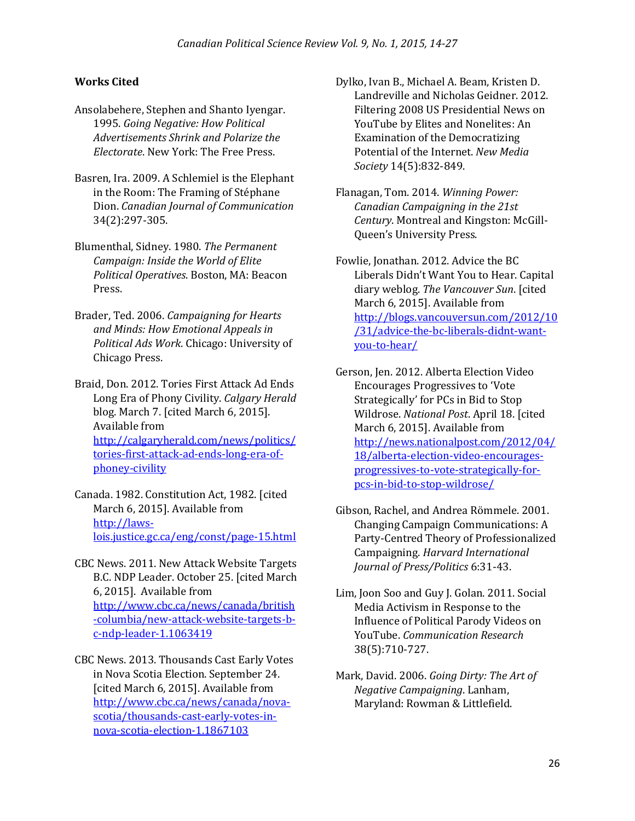#### **Works Cited**

- Ansolabehere, Stephen and Shanto Iyengar. 1995. *Going Negative: How Political Advertisements Shrink and Polarize the Electorate*. New York: The Free Press.
- Basren, Ira. 2009. A Schlemiel is the Elephant in the Room: The Framing of Stéphane Dion. *Canadian Journal of Communication* 34(2):297-305.
- Blumenthal, Sidney. 1980. *The Permanent Campaign: Inside the World of Elite Political Operatives*. Boston, MA: Beacon Press.
- Brader, Ted. 2006. *Campaigning for Hearts and Minds: How Emotional Appeals in Political Ads Work*. Chicago: University of Chicago Press.
- Braid, Don. 2012. Tories First Attack Ad Ends Long Era of Phony Civility. *Calgary Herald* blog. March 7. [cited March 6, 2015]. Available from [http://calgaryherald.com/news/politics/](http://calgaryherald.com/news/politics/tories-first-attack-ad-ends-long-era-of-phoney-civility) [tories-first-attack-ad-ends-long-era-of](http://calgaryherald.com/news/politics/tories-first-attack-ad-ends-long-era-of-phoney-civility)[phoney-civility](http://calgaryherald.com/news/politics/tories-first-attack-ad-ends-long-era-of-phoney-civility)
- Canada. 1982. Constitution Act, 1982. [cited March 6, 2015]. Available from [http://laws](http://laws-lois.justice.gc.ca/eng/const/page-15.html)[lois.justice.gc.ca/eng/const/page-15.html](http://laws-lois.justice.gc.ca/eng/const/page-15.html)
- CBC News. 2011. New Attack Website Targets B.C. NDP Leader. October 25. [cited March 6, 2015]. Available from [http://www.cbc.ca/news/canada/british](http://www.cbc.ca/news/canada/british-columbia/new-attack-website-targets-b-c-ndp-leader-1.1063419) [-columbia/new-attack-website-targets-b](http://www.cbc.ca/news/canada/british-columbia/new-attack-website-targets-b-c-ndp-leader-1.1063419)[c-ndp-leader-1.1063419](http://www.cbc.ca/news/canada/british-columbia/new-attack-website-targets-b-c-ndp-leader-1.1063419)
- CBC News. 2013. Thousands Cast Early Votes in Nova Scotia Election. September 24. [cited March 6, 2015]. Available from [http://www.cbc.ca/news/canada/nova](http://www.cbc.ca/news/canada/nova-scotia/thousands-cast-early-votes-in-nova-scotia-election-1.1867103)[scotia/thousands-cast-early-votes-in](http://www.cbc.ca/news/canada/nova-scotia/thousands-cast-early-votes-in-nova-scotia-election-1.1867103)[nova-scotia-election-1.1867103](http://www.cbc.ca/news/canada/nova-scotia/thousands-cast-early-votes-in-nova-scotia-election-1.1867103)
- Dylko, Ivan B., Michael A. Beam, Kristen D. Landreville and Nicholas Geidner. 2012. Filtering 2008 US Presidential News on YouTube by Elites and Nonelites: An Examination of the Democratizing Potential of the Internet. *New Media Society* 14(5):832-849.
- Flanagan, Tom. 2014. *Winning Power: Canadian Campaigning in the 21st Century*. Montreal and Kingston: McGill-Queen's University Press.
- Fowlie, Jonathan. 2012. Advice the BC Liberals Didn't Want You to Hear. Capital diary weblog. *The Vancouver Sun*. [cited March 6, 2015]. Available from [http://blogs.vancouversun.com/2012/10](http://blogs.vancouversun.com/2012/10/31/advice-the-bc-liberals-didnt-want-you-to-hear/) [/31/advice-the-bc-liberals-didnt-want](http://blogs.vancouversun.com/2012/10/31/advice-the-bc-liberals-didnt-want-you-to-hear/)[you-to-hear/](http://blogs.vancouversun.com/2012/10/31/advice-the-bc-liberals-didnt-want-you-to-hear/)
- Gerson, Jen. 2012. Alberta Election Video Encourages Progressives to 'Vote Strategically' for PCs in Bid to Stop Wildrose. *National Post*. April 18. [cited March 6, 2015]. Available from [http://news.nationalpost.com/2012/04/](http://news.nationalpost.com/2012/04/18/alberta-election-video-encourages-progressives-to-vote-strategically-for-pcs-in-bid-to-stop-wildrose/) [18/alberta-election-video-encourages](http://news.nationalpost.com/2012/04/18/alberta-election-video-encourages-progressives-to-vote-strategically-for-pcs-in-bid-to-stop-wildrose/)[progressives-to-vote-strategically-for](http://news.nationalpost.com/2012/04/18/alberta-election-video-encourages-progressives-to-vote-strategically-for-pcs-in-bid-to-stop-wildrose/)[pcs-in-bid-to-stop-wildrose/](http://news.nationalpost.com/2012/04/18/alberta-election-video-encourages-progressives-to-vote-strategically-for-pcs-in-bid-to-stop-wildrose/)
- Gibson, Rachel, and Andrea Römmele. 2001. Changing Campaign Communications: A Party-Centred Theory of Professionalized Campaigning. *Harvard International Journal of Press/Politics* 6:31-43.
- Lim, Joon Soo and Guy J. Golan. 2011. Social Media Activism in Response to the Influence of Political Parody Videos on YouTube. *Communication Research* 38(5):710-727.
- Mark, David. 2006. *Going Dirty: The Art of Negative Campaigning*. Lanham, Maryland: Rowman & Littlefield.